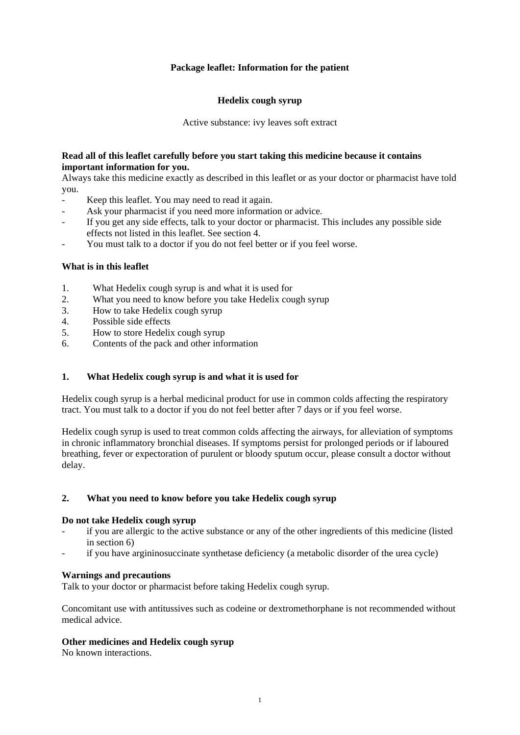## **Package leaflet: Information for the patient**

## **Hedelix cough syrup**

Active substance: ivy leaves soft extract

#### **Read all of this leaflet carefully before you start taking this medicine because it contains important information for you.**

Always take this medicine exactly as described in this leaflet or as your doctor or pharmacist have told you.

- Keep this leaflet. You may need to read it again.
- Ask your pharmacist if you need more information or advice.
- If you get any side effects, talk to your doctor or pharmacist. This includes any possible side effects not listed in this leaflet. See section 4.
- You must talk to a doctor if you do not feel better or if you feel worse.

## **What is in this leaflet**

- 1. What Hedelix cough syrup is and what it is used for
- 2. What you need to know before you take Hedelix cough syrup
- 3. How to take Hedelix cough syrup
- 4. Possible side effects
- 5. How to store Hedelix cough syrup
- 6. Contents of the pack and other information

#### **1. What Hedelix cough syrup is and what it is used for**

Hedelix cough syrup is a herbal medicinal product for use in common colds affecting the respiratory tract. You must talk to a doctor if you do not feel better after 7 days or if you feel worse.

Hedelix cough syrup is used to treat common colds affecting the airways, for alleviation of symptoms in chronic inflammatory bronchial diseases. If symptoms persist for prolonged periods or if laboured breathing, fever or expectoration of purulent or bloody sputum occur, please consult a doctor without delay.

# **2. What you need to know before you take Hedelix cough syrup**

#### **Do not take Hedelix cough syrup**

- if you are allergic to the active substance or any of the other ingredients of this medicine (listed in section 6)
- if you have argininosuccinate synthetase deficiency (a metabolic disorder of the urea cycle)

#### **Warnings and precautions**

Talk to your doctor or pharmacist before taking Hedelix cough syrup.

Concomitant use with antitussives such as codeine or dextromethorphane is not recommended without medical advice.

#### **Other medicines and Hedelix cough syrup**

No known interactions.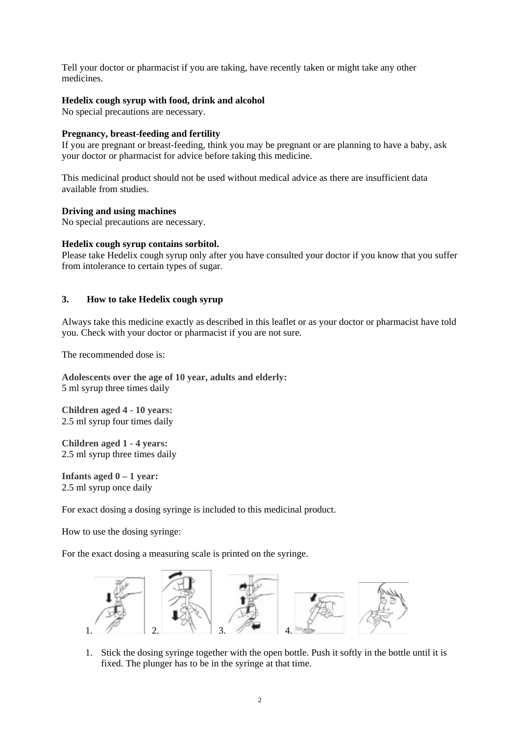Tell your doctor or pharmacist if you are taking, have recently taken or might take any other medicines.

## **Hedelix cough syrup with food, drink and alcohol**

No special precautions are necessary.

## **Pregnancy, breast-feeding and fertility**

If you are pregnant or breast-feeding, think you may be pregnant or are planning to have a baby, ask your doctor or pharmacist for advice before taking this medicine.

This medicinal product should not be used without medical advice as there are insufficient data available from studies.

#### **Driving and using machines**

No special precautions are necessary.

#### **Hedelix cough syrup contains sorbitol.**

Please take Hedelix cough syrup only after you have consulted your doctor if you know that you suffer from intolerance to certain types of sugar.

## **3. How to take Hedelix cough syrup**

Always take this medicine exactly as described in this leaflet or as your doctor or pharmacist have told you. Check with your doctor or pharmacist if you are not sure.

The recommended dose is:

**Adolescents over the age of 10 year, adults and elderly:** 5 ml syrup three times daily

**Children aged 4 - 10 years:**  2.5 ml syrup four times daily

**Children aged 1 - 4 years:** 2.5 ml syrup three times daily

**Infants aged 0 – 1 year:** 2.5 ml syrup once daily

For exact dosing a dosing syringe is included to this medicinal product.

How to use the dosing syringe:

For the exact dosing a measuring scale is printed on the syringe.



1. Stick the dosing syringe together with the open bottle. Push it softly in the bottle until it is fixed. The plunger has to be in the syringe at that time.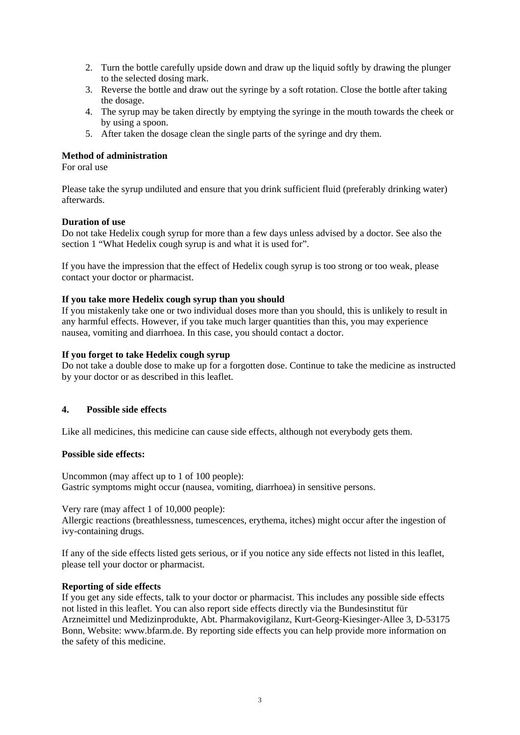- 2. Turn the bottle carefully upside down and draw up the liquid softly by drawing the plunger to the selected dosing mark.
- 3. Reverse the bottle and draw out the syringe by a soft rotation. Close the bottle after taking the dosage.
- 4. The syrup may be taken directly by emptying the syringe in the mouth towards the cheek or by using a spoon.
- 5. After taken the dosage clean the single parts of the syringe and dry them.

### **Method of administration**

For oral use

Please take the syrup undiluted and ensure that you drink sufficient fluid (preferably drinking water) afterwards.

#### **Duration of use**

Do not take Hedelix cough syrup for more than a few days unless advised by a doctor. See also the section 1 "What Hedelix cough syrup is and what it is used for".

If you have the impression that the effect of Hedelix cough syrup is too strong or too weak, please contact your doctor or pharmacist.

## **If you take more Hedelix cough syrup than you should**

If you mistakenly take one or two individual doses more than you should, this is unlikely to result in any harmful effects. However, if you take much larger quantities than this, you may experience nausea, vomiting and diarrhoea. In this case, you should contact a doctor.

## **If you forget to take Hedelix cough syrup**

Do not take a double dose to make up for a forgotten dose. Continue to take the medicine as instructed by your doctor or as described in this leaflet.

#### **4. Possible side effects**

Like all medicines, this medicine can cause side effects, although not everybody gets them.

## **Possible side effects:**

Uncommon (may affect up to 1 of 100 people): Gastric symptoms might occur (nausea, vomiting, diarrhoea) in sensitive persons.

Very rare (may affect 1 of 10,000 people): Allergic reactions (breathlessness, tumescences, erythema, itches) might occur after the ingestion of ivy-containing drugs.

If any of the side effects listed gets serious, or if you notice any side effects not listed in this leaflet, please tell your doctor or pharmacist.

#### **Reporting of side effects**

If you get any side effects, talk to your doctor or pharmacist. This includes any possible side effects not listed in this leaflet. You can also report side effects directly via the Bundesinstitut für Arzneimittel und Medizinprodukte, Abt. Pharmakovigilanz, Kurt-Georg-Kiesinger-Allee 3, D-53175 Bonn, Website: www.bfarm.de. By reporting side effects you can help provide more information on the safety of this medicine.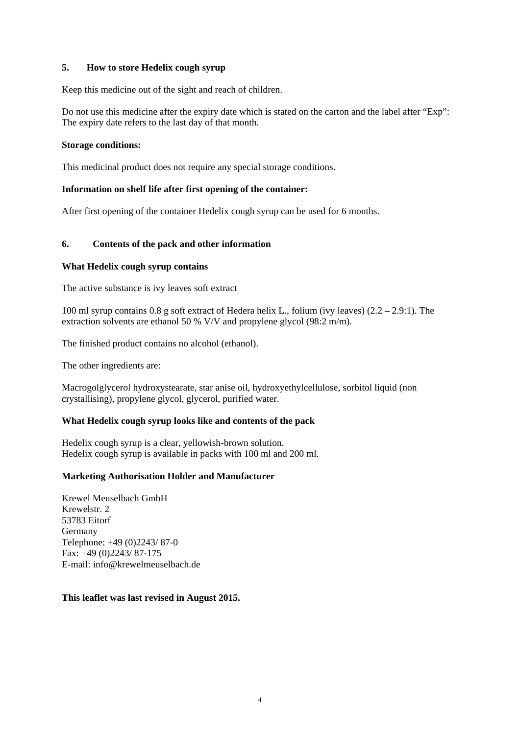## **5. How to store Hedelix cough syrup**

Keep this medicine out of the sight and reach of children.

Do not use this medicine after the expiry date which is stated on the carton and the label after "Exp": The expiry date refers to the last day of that month.

### **Storage conditions:**

This medicinal product does not require any special storage conditions.

## **Information on shelf life after first opening of the container:**

After first opening of the container Hedelix cough syrup can be used for 6 months.

# **6. Contents of the pack and other information**

#### **What Hedelix cough syrup contains**

The active substance is ivy leaves soft extract

100 ml syrup contains 0.8 g soft extract of Hedera helix L., folium (ivy leaves) (2.2 – 2.9:1). The extraction solvents are ethanol 50 % V/V and propylene glycol (98:2 m/m).

The finished product contains no alcohol (ethanol).

The other ingredients are:

Macrogolglycerol hydroxystearate, star anise oil, hydroxyethylcellulose, sorbitol liquid (non crystallising), propylene glycol, glycerol, purified water.

#### **What Hedelix cough syrup looks like and contents of the pack**

Hedelix cough syrup is a clear, yellowish-brown solution. Hedelix cough syrup is available in packs with 100 ml and 200 ml.

#### **Marketing Authorisation Holder and Manufacturer**

Krewel Meuselbach GmbH Krewelstr. 2 53783 Eitorf Germany Telephone: +49 (0)2243/ 87-0 Fax: +49 (0)2243/ 87-175 E-mail: info@krewelmeuselbach.de

**This leaflet was last revised in August 2015.**